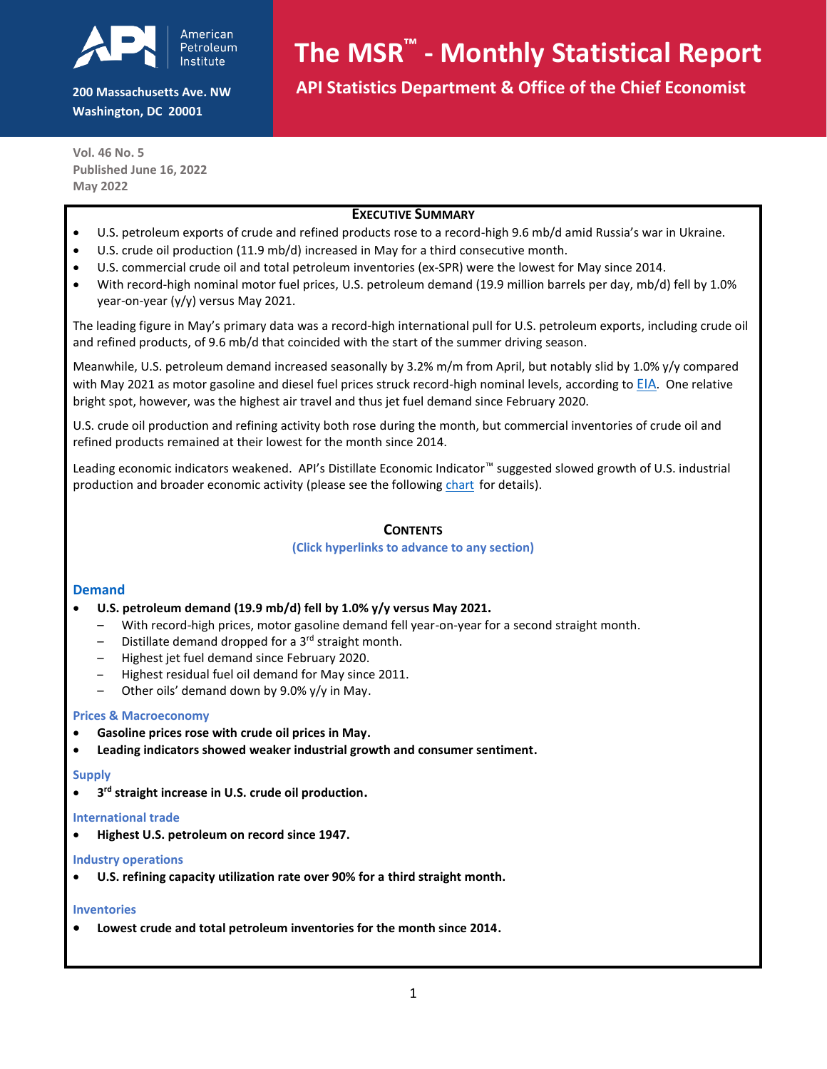

**200 Massachusetts Ave. NW Washington, DC 20001**

# **The MSR™ - Monthly Statistical Report**

 **API Statistics Department & Office of the Chief Economist**

**Vol. 46 No. 5 Published June 16, 2022 May 2022**

#### **EXECUTIVE SUMMARY**

- U.S. petroleum exports of crude and refined products rose to a record-high 9.6 mb/d amid Russia's war in Ukraine.
- U.S. crude oil production (11.9 mb/d) increased in May for a third consecutive month.
- U.S. commercial crude oil and total petroleum inventories (ex-SPR) were the lowest for May since 2014.
- With record-high nominal motor fuel prices, U.S. petroleum demand (19.9 million barrels per day, mb/d) fell by 1.0% year-on-year (y/y) versus May 2021.

The leading figure in May's primary data was a record-high international pull for U.S. petroleum exports, including crude oil and refined products, of 9.6 mb/d that coincided with the start of the summer driving season.

Meanwhile, U.S. petroleum demand increased seasonally by 3.2% m/m from April, but notably slid by 1.0% y/y compared with May 2021 as motor gasoline and diesel fuel prices struck record-high nominal levels, according to [EIA](https://www.eia.gov/dnav/pet/pet_pri_gnd_a_epm0_pte_dpgal_m.htm). One relative bright spot, however, was the highest air travel and thus jet fuel demand since February 2020.

U.S. crude oil production and refining activity both rose during the month, but commercial inventories of crude oil and refined products remained at their lowest for the month since 2014.

Leading economic indicators weakened. API's Distillate Economic Indicator™ suggested slowed growth of U.S. industrial production and broader economic activity (please see the following [chart](#page-0-0)for details).

#### **CONTENTS**

#### **(Click hyperlinks to advance to any section)**

#### **[Demand](#page-1-0)***<sup>3</sup>*

#### • **[U.S. petroleum demand \(19.9](#page-1-0) mb/d) fell by 1.0% y/y versus May 2021[.](#page-1-0)**

- [With record-high prices, motor gasoline demand fell year-on-year for a second straight month.](#page-1-1)
- [Distillate demand dropped for a 3](#page-1-2)<sup>rd</sup> straight month.
- [Highest jet fuel demand since February 2020.](#page-2-0)
- [Highest residual fuel oil demand for May since 2011.](#page-2-1)
- [Other oils' demand down by 9.0% y/y in May](#page-2-2).

#### **[Prices & Macroeconomy](#page-3-0)**

- **[Gasoline prices rose with crude oil prices in May.](#page-3-0)**
- **[Leading indicators showed weaker industrial growth and consumer sentiment.](#page-3-1)**

#### **[Supply](#page-3-2)***32T*

• **3 rd [straight increase in U.S. crude oil production](#page-3-2)[.](#page-3-2)**

#### **[International trade](#page-4-0)**

• **[Highest U.S. petroleum on record since 1947.](#page-4-0)**

#### *32Th dustry operations*

• **[U.S. refining capacity utilization rate over 90% for a third straight month.](#page-4-1)**

#### **[Inventories](#page-4-2)**

<span id="page-0-0"></span>• **[Lowest crude and total petroleum inventories for the month since 2014.](#page-4-2)**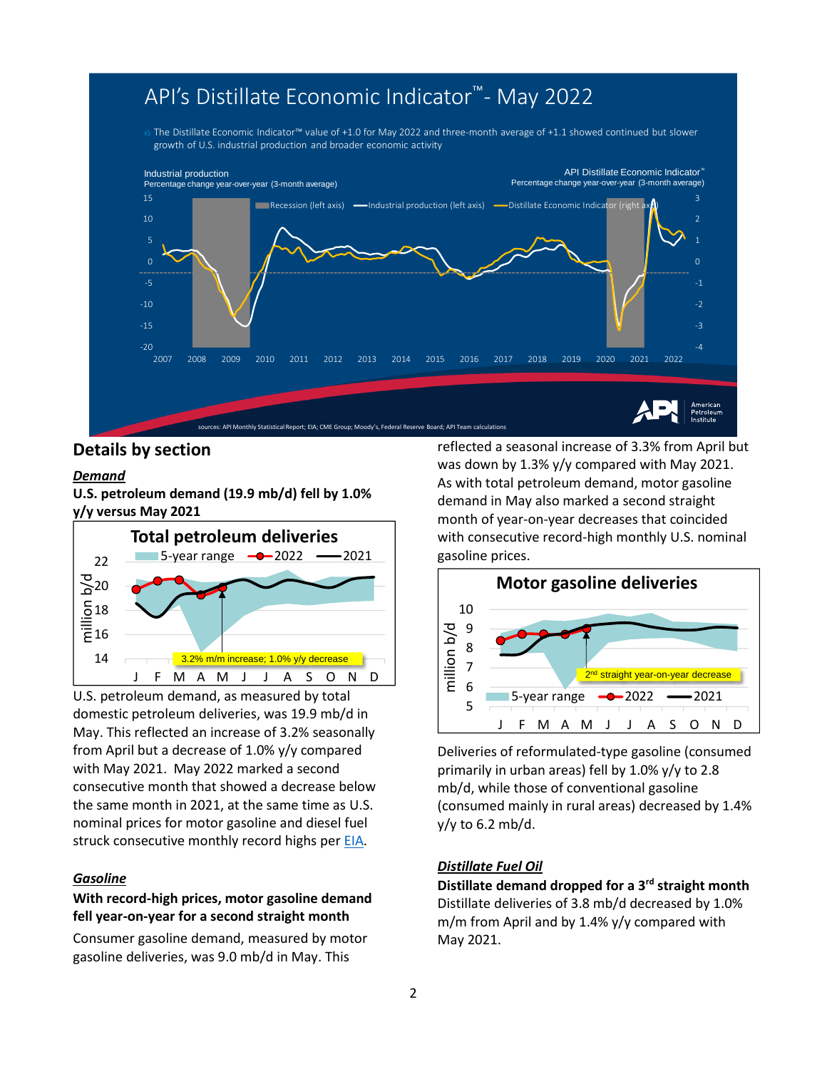# API's Distillate Economic Indicator<sup>™</sup>- May 2022

The Distillate Economic Indicator<sup>m</sup> value of +1.0 for May 2022 and three-month average of +1.1 showed continued but slower growth of U.S. industrial production and broader economic activity



# **Details by section**

#### <span id="page-1-0"></span>*Demand*

**U.S. petroleum demand (19.9 mb/d) fell by 1.0% y/y versus May 2021**



U.S. petroleum demand, as measured by total domestic petroleum deliveries, was 19.9 mb/d in May. This reflected an increase of 3.2% seasonally from April but a decrease of 1.0% y/y compared with May 2021. May 2022 marked a second consecutive month that showed a decrease below the same month in 2021, at the same time as U.S. nominal prices for motor gasoline and diesel fuel struck consecutive monthly record highs pe[r EIA](https://www.eia.gov/dnav/pet/pet_pri_gnd_a_epm0_pte_dpgal_m.htm).

#### *Gasoline*

# **With record-high prices, motor gasoline demand fell year-on-year for a second straight month**

Consumer gasoline demand, measured by motor gasoline deliveries, was 9.0 mb/d in May. This

reflected a seasonal increase of 3.3% from April but was down by 1.3% y/y compared with May 2021. As with total petroleum demand, motor gasoline demand in May also marked a second straight month of year-on-year decreases that coincided with consecutive record-high monthly U.S. nominal gasoline prices.



Deliveries of reformulated-type gasoline (consumed primarily in urban areas) fell by 1.0% y/y to 2.8 mb/d, while those of conventional gasoline (consumed mainly in rural areas) decreased by 1.4% y/y to 6.2 mb/d.

# <span id="page-1-2"></span><span id="page-1-1"></span>*Distillate Fuel Oil*

**Distillate demand dropped for a 3 rd straight month** Distillate deliveries of 3.8 mb/d decreased by 1.0% m/m from April and by 1.4% y/y compared with May 2021.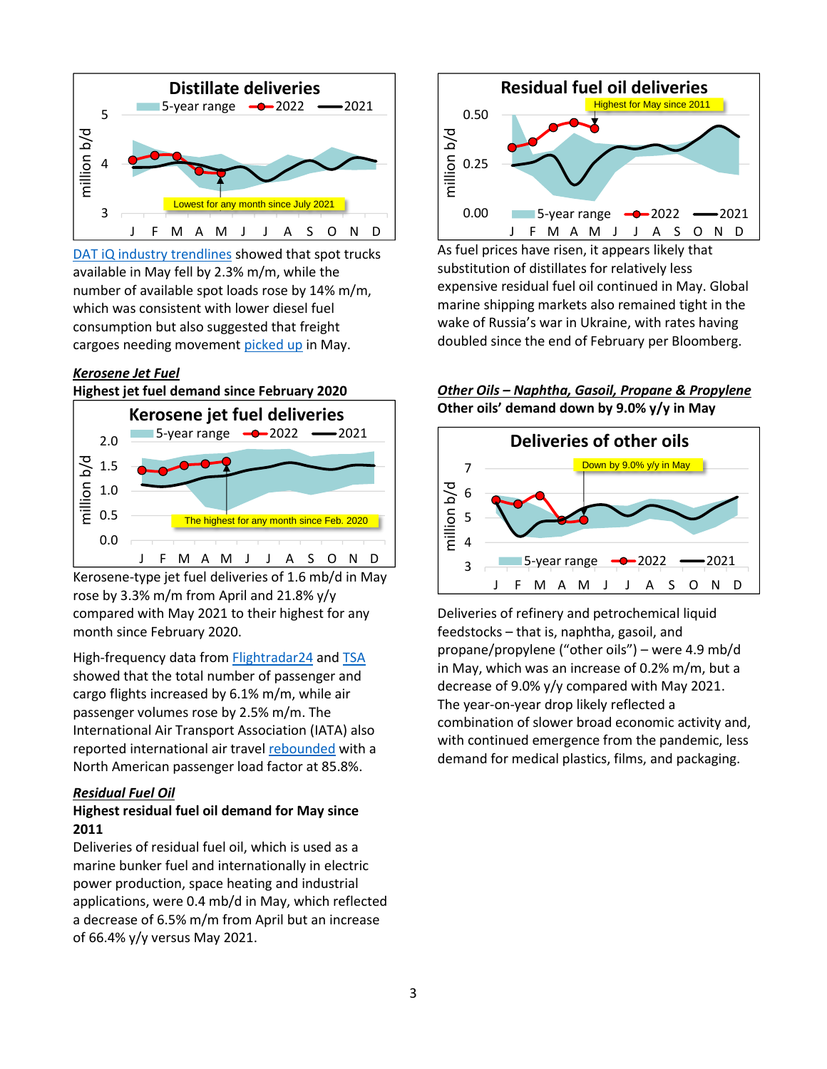

[DAT iQ industry trendlines](https://www.dat.com/industry-trends/trendlines) showed that spot trucks available in May fell by 2.3% m/m, while the number of available spot loads rose by 14% m/m, which was consistent with lower diesel fuel consumption but also suggested that freight cargoes needing movement [picked up](https://www.logisticsmgmt.com/article/top_trucking_executives_say_freight_recession_is_nowhere_in_sight) in May.

### <span id="page-2-0"></span>*Kerosene Jet Fuel*



Kerosene-type jet fuel deliveries of 1.6 mb/d in May rose by 3.3% m/m from April and 21.8% y/y compared with May 2021 to their highest for any month since February 2020.

High-frequency data from [Flightradar24](https://www.flightradar24.com/data/statistics)*<sup>3</sup>* an[d TSA](https://www.tsa.gov/coronavirus/passenger-throughput) showed that the total number of passenger and cargo flights increased by 6.1% m/m, while air passenger volumes rose by 2.5% m/m. The International Air Transport Association (IATA) also reported international air travel [rebounded](https://www.iata.org/en/pressroom/2022-releases/2022-06-09-01/) with a North American passenger load factor at 85.8%.

# <span id="page-2-1"></span>*Residual Fuel Oil*

# **Highest residual fuel oil demand for May since 2011**

Deliveries of residual fuel oil, which is used as a marine bunker fuel and internationally in electric power production, space heating and industrial applications, were 0.4 mb/d in May, which reflected a decrease of 6.5% m/m from April but an increase of 66.4% y/y versus May 2021.



As fuel prices have risen, it appears likely that substitution of distillates for relatively less expensive residual fuel oil continued in May. Global marine shipping markets also remained tight in the wake of Russia's war in Ukraine, with rates having doubled since the end of February per Bloomberg.

# <span id="page-2-2"></span>*Other Oils – Naphtha, Gasoil, Propane & Propylene* **Other oils' demand down by 9.0% y/y in May**



Deliveries of refinery and petrochemical liquid feedstocks – that is, naphtha, gasoil, and propane/propylene ("other oils") – were 4.9 mb/d in May, which was an increase of 0.2% m/m, but a decrease of 9.0% y/y compared with May 2021. The year-on-year drop likely reflected a combination of slower broad economic activity and, with continued emergence from the pandemic, less demand for medical plastics, films, and packaging.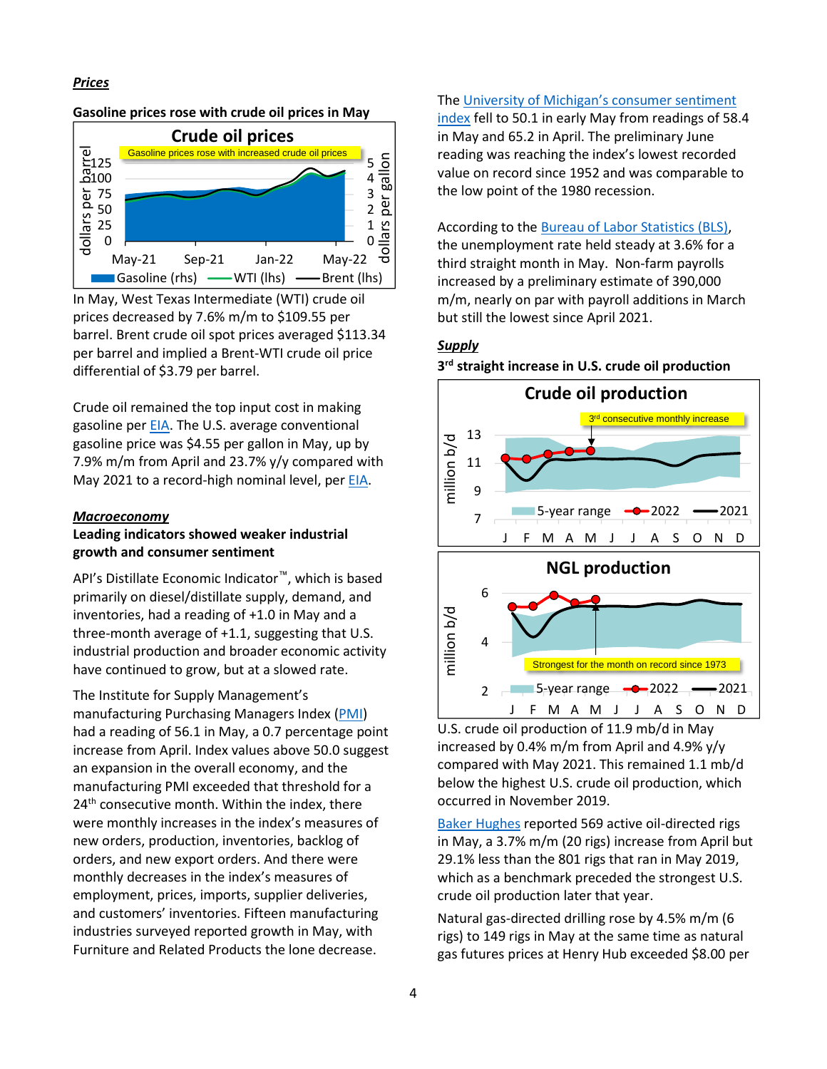#### *Prices*

# <span id="page-3-0"></span>**Gasoline prices rose with crude oil prices in May**



In May, West Texas Intermediate (WTI) crude oil prices decreased by 7.6% m/m to \$109.55 per barrel. Brent crude oil spot prices averaged \$113.34 per barrel and implied a Brent-WTI crude oil price differential of \$3.79 per barrel.

Crude oil remained the top input cost in making gasoline per [EIA.](https://www.eia.gov/petroleum/gasdiesel/) The U.S. average conventional gasoline price was \$4.55 per gallon in May, up by 7.9% m/m from April and 23.7% y/y compared with May 2021 to a record-high nominal level, per [EIA](https://www.eia.gov/dnav/pet/pet_pri_gnd_a_epm0_pte_dpgal_m.htm).

#### <span id="page-3-1"></span>*Macroeconomy*

#### **Leading indicators showed weaker industrial growth and consumer sentiment**

API's Distillate Economic Indicator™, which is based primarily on diesel/distillate supply, demand, and inventories, had a reading of +1.0 in May and a three-month average of +1.1, suggesting that U.S. industrial production and broader economic activity have continued to grow, but at a slowed rate.

The Institute for Supply Management's manufacturing Purchasing Managers Index (*T*[PMI\)](https://www.ismworld.org/supply-management-news-and-reports/reports/ism-report-on-business/) had a reading of 56.1 in May, a 0.7 percentage point increase from April. Index values above 50.0 suggest an expansion in the overall economy, and the manufacturing PMI exceeded that threshold for a 24<sup>th</sup> consecutive month. Within the index, there were monthly increases in the index's measures of new orders, production, inventories, backlog of orders, and new export orders. And there were monthly decreases in the index's measures of employment, prices, imports, supplier deliveries, and customers' inventories. Fifteen manufacturing industries surveyed reported growth in May, with Furniture and Related Products the lone decrease.

The University of Michigan's consumer sentiment [index](http://www.sca.isr.umich.edu/) fell to 50.1 in early May from readings of 58.4 in May and 65.2 in April. The preliminary June reading was reaching the index's lowest recorded value on record since 1952 and was comparable to the low point of the 1980 recession.

#### According to the [Bureau of Labor Statistics \(BLS\),](https://www.bls.gov/)

<span id="page-3-2"></span>the unemployment rate held steady at 3.6% for a third straight month in May. Non-farm payrolls increased by a preliminary estimate of 390,000 m/m, nearly on par with payroll additions in March but still the lowest since April 2021.

#### *Supply*

**3 rd straight increase in U.S. crude oil production**



U.S. crude oil production of 11.9 mb/d in May increased by 0.4% m/m from April and 4.9% y/y compared with May 2021. This remained 1.1 mb/d below the highest U.S. crude oil production, which occurred in November 2019.

[Baker Hughes](https://rigcount.bakerhughes.com/na-rig-count) reported 569 active oil-directed rigs in May, a 3.7% m/m (20 rigs) increase from April but 29.1% less than the 801 rigs that ran in May 2019, which as a benchmark preceded the strongest U.S. crude oil production later that year.

Natural gas-directed drilling rose by 4.5% m/m (6 rigs) to 149 rigs in May at the same time as natural gas futures prices at Henry Hub exceeded \$8.00 per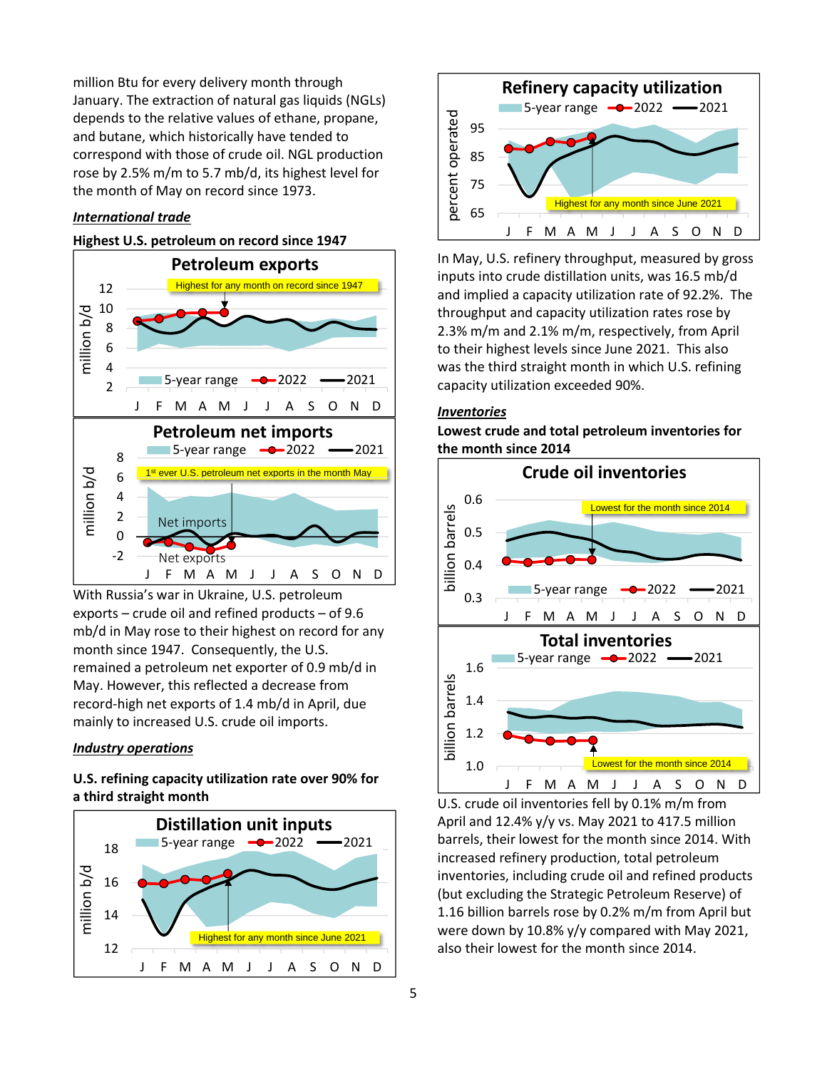million Btu for every delivery month through January. The extraction of natural gas liquids (NGLs) depends to the relative values of ethane, propane, and butane, which historically have tended to correspond with those of crude oil. NGL production rose by 2.5% m/m to 5.7 mb/d, its highest level for the month of May on record since 1973.

#### *International trade*

# **Highest U.S. petroleum on record since 1947**



With Russia's war in Ukraine, U.S. petroleum exports – crude oil and refined products – of 9.6 mb/d in May rose to their highest on record for any month since 1947. Consequently, the U.S. remained a petroleum net exporter of 0.9 mb/d in May. However, this reflected a decrease from record-high net exports of 1.4 mb/d in April, due mainly to increased U.S. crude oil imports.

#### <span id="page-4-1"></span>*Industry operations*

# <span id="page-4-2"></span>**U.S. refining capacity utilization rate over 90% for a third straight month**



<span id="page-4-0"></span>

In May, U.S. refinery throughput, measured by gross inputs into crude distillation units, was 16.5 mb/d and implied a capacity utilization rate of 92.2%. The throughput and capacity utilization rates rose by 2.3% m/m and 2.1% m/m, respectively, from April to their highest levels since June 2021. This also was the third straight month in which U.S. refining capacity utilization exceeded 90%.

# *Inventories*

**Lowest crude and total petroleum inventories for the month since 2014**



U.S. crude oil inventories fell by 0.1% m/m from April and 12.4% y/y vs. May 2021 to 417.5 million barrels, their lowest for the month since 2014. With increased refinery production, total petroleum inventories, including crude oil and refined products (but excluding the Strategic Petroleum Reserve) of 1.16 billion barrels rose by 0.2% m/m from April but were down by 10.8% y/y compared with May 2021, also their lowest for the month since 2014.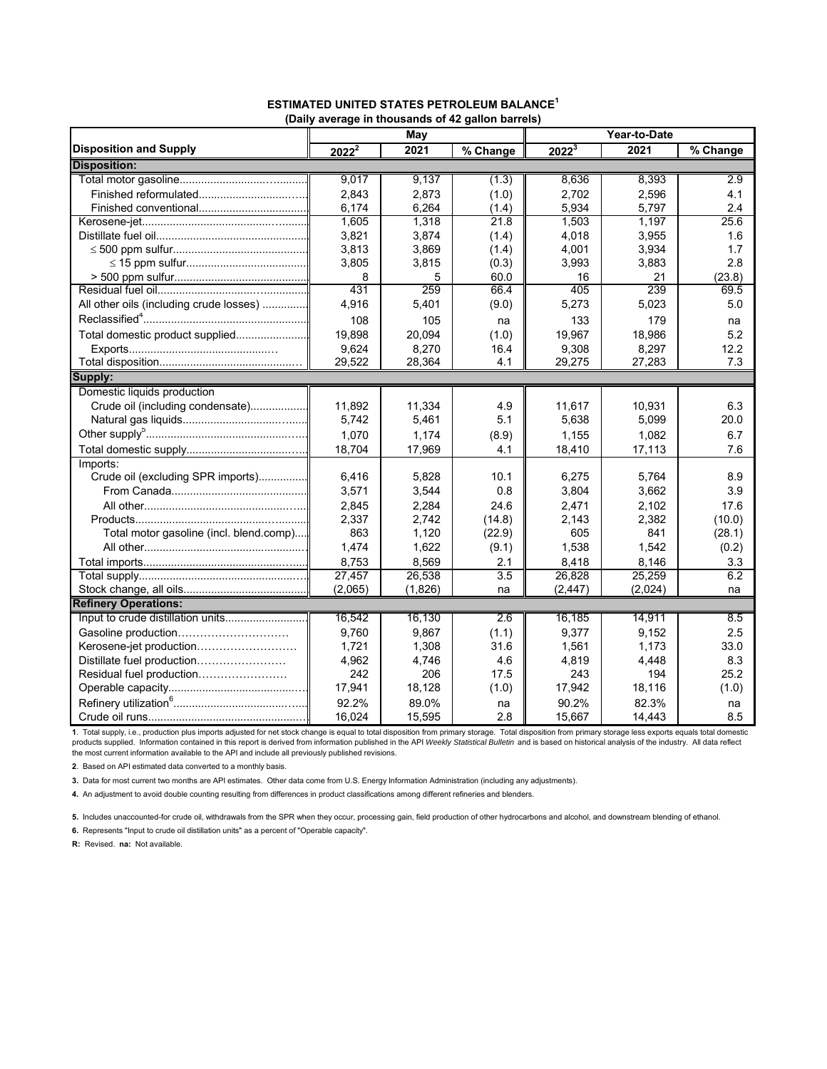|                                         |          | May     | (Daily average in thousands of 42 gallon barreis) | Year-to-Date      |         |                        |  |  |
|-----------------------------------------|----------|---------|---------------------------------------------------|-------------------|---------|------------------------|--|--|
| <b>Disposition and Supply</b>           | $2022^2$ | 2021    | % Change                                          | 2022 <sup>3</sup> | 2021    |                        |  |  |
| <b>Disposition:</b>                     |          |         |                                                   |                   |         | $\overline{\%}$ Change |  |  |
|                                         | 9,017    | 9.137   | (1.3)                                             | 8.636             | 8.393   | 2.9                    |  |  |
|                                         | 2.843    | 2,873   | (1.0)                                             | 2.702             | 2,596   | 4.1                    |  |  |
|                                         | 6.174    | 6,264   | (1.4)                                             | 5.934             | 5.797   | 2.4                    |  |  |
|                                         | 1,605    | 1.318   | 21.8                                              | 1.503             | 1.197   | 25.6                   |  |  |
|                                         | 3,821    | 3,874   | (1.4)                                             | 4,018             | 3,955   | 1.6                    |  |  |
|                                         | 3,813    | 3,869   | (1.4)                                             | 4,001             | 3,934   | 1.7                    |  |  |
|                                         | 3,805    | 3,815   | (0.3)                                             | 3,993             | 3,883   | 2.8                    |  |  |
|                                         | 8        | 5       | 60.0                                              | 16                | 21      | (23.8)                 |  |  |
|                                         | 431      | 259     | 66.4                                              | 405               | 239     | 69.5                   |  |  |
| All other oils (including crude losses) | 4,916    | 5,401   | (9.0)                                             | 5,273             | 5,023   | 5.0                    |  |  |
|                                         | 108      | 105     | na                                                | 133               | 179     | na                     |  |  |
| Total domestic product supplied         | 19,898   | 20.094  | (1.0)                                             | 19.967            | 18,986  | 5.2                    |  |  |
|                                         | 9,624    | 8,270   | 16.4                                              | 9,308             | 8,297   | 12.2                   |  |  |
|                                         | 29,522   | 28,364  | 4.1                                               | 29,275            | 27,283  | 7.3                    |  |  |
| Supply:                                 |          |         |                                                   |                   |         |                        |  |  |
| Domestic liquids production             |          |         |                                                   |                   |         |                        |  |  |
| Crude oil (including condensate)        | 11,892   | 11,334  | 4.9                                               | 11,617            | 10,931  | 6.3                    |  |  |
|                                         | 5,742    | 5,461   | 5.1                                               | 5,638             | 5,099   | 20.0                   |  |  |
|                                         | 1,070    | 1,174   | (8.9)                                             | 1,155             | 1,082   | 6.7                    |  |  |
|                                         | 18,704   | 17,969  | 4.1                                               | 18,410            | 17,113  | 7.6                    |  |  |
| Imports:                                |          |         |                                                   |                   |         |                        |  |  |
| Crude oil (excluding SPR imports)       | 6,416    | 5,828   | 10.1                                              | 6,275             | 5,764   | 8.9                    |  |  |
|                                         | 3,571    | 3,544   | 0.8                                               | 3,804             | 3,662   | 3.9                    |  |  |
|                                         | 2,845    | 2,284   | 24.6                                              | 2,471             | 2,102   | 17.6                   |  |  |
|                                         | 2,337    | 2.742   | (14.8)                                            | 2.143             | 2,382   | (10.0)                 |  |  |
| Total motor gasoline (incl. blend.comp) | 863      | 1,120   | (22.9)                                            | 605               | 841     | (28.1)                 |  |  |
|                                         | 1,474    | 1,622   | (9.1)                                             | 1,538             | 1,542   | (0.2)                  |  |  |
|                                         | 8,753    | 8,569   | 2.1                                               | 8,418             | 8,146   | 3.3                    |  |  |
|                                         | 27,457   | 26,538  | 3.5                                               | 26,828            | 25,259  | 6.2                    |  |  |
|                                         | (2,065)  | (1,826) | na                                                | (2, 447)          | (2,024) | na                     |  |  |
| <b>Refinery Operations:</b>             |          |         |                                                   |                   |         |                        |  |  |
| Input to crude distillation units       | 16,542   | 16,130  | $\overline{2.6}$                                  | 16,185            | 14,911  | 8.5                    |  |  |
| Gasoline production                     | 9,760    | 9,867   | (1.1)                                             | 9,377             | 9,152   | 2.5                    |  |  |
| Kerosene-jet production                 | 1,721    | 1,308   | 31.6                                              | 1,561             | 1,173   | 33.0                   |  |  |
| Distillate fuel production              | 4,962    | 4,746   | 4.6                                               | 4,819             | 4,448   | 8.3                    |  |  |
| Residual fuel production                | 242      | 206     | 17.5                                              | 243               | 194     | 25.2                   |  |  |
|                                         | 17,941   | 18,128  | (1.0)                                             | 17,942            | 18,116  | (1.0)                  |  |  |
|                                         | 92.2%    | 89.0%   | na                                                | 90.2%             | 82.3%   | na                     |  |  |
|                                         | 16,024   | 15,595  | 2.8                                               | 15,667            | 14,443  | 8.5                    |  |  |

#### **ESTIMATED UNITED STATES PETROLEUM BALANCE<sup>1</sup> (Daily average in thousands of 42 gallon barrels)**

1. Total supply, i.e., production plus imports adjusted for net stock change is equal to total disposition from primary storage. Total disposition from primary storage less exports equals total domestic<br>products supplied

**2**. Based on API estimated data converted to a monthly basis.

**3.** Data for most current two months are API estimates. Other data come from U.S. Energy Information Administration (including any adjustments).

**4.** An adjustment to avoid double counting resulting from differences in product classifications among different refineries and blenders.

**5.** Includes unaccounted-for crude oil, withdrawals from the SPR when they occur, processing gain, field production of other hydrocarbons and alcohol, and downstream blending of ethanol.

**6.** Represents "Input to crude oil distillation units" as a percent of "Operable capacity".

**R:** Revised. **na:** Not available.